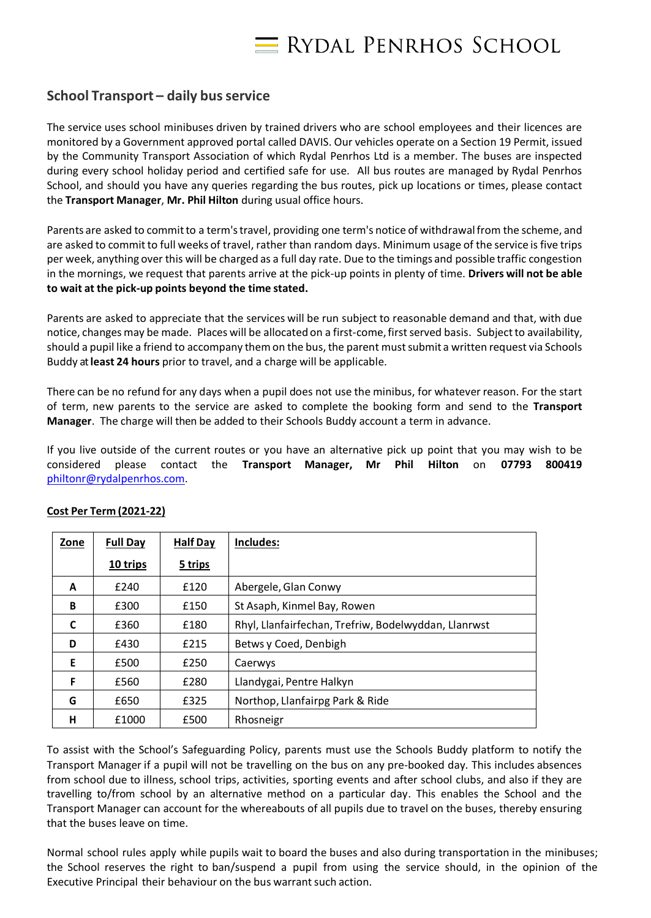

## **School Transport – daily bus service**

The service uses school minibuses driven by trained drivers who are school employees and their licences are monitored by a Government approved portal called DAVIS. Our vehicles operate on a Section 19 Permit, issued by the Community Transport Association of which Rydal Penrhos Ltd is a member. The buses are inspected during every school holiday period and certified safe for use. All bus routes are managed by Rydal Penrhos School, and should you have any queries regarding the bus routes, pick up locations or times, please contact the **Transport Manager**, **Mr. Phil Hilton** during usual office hours.

Parents are asked to commit to a term's travel, providing one term's notice of withdrawal from the scheme, and are asked to committo full weeks of travel, rather than random days. Minimum usage of the service isfive trips per week, anything over this will be charged as a full day rate. Due to the timings and possible traffic congestion in the mornings, we request that parents arrive at the pick-up points in plenty of time. **Drivers will not be able to wait at the pick-up points beyond the time stated.**

Parents are asked to appreciate that the services will be run subject to reasonable demand and that, with due notice, changes may be made. Places will be allocated on a first-come, first served basis. Subject to availability, should a pupil like a friend to accompany themon the bus, the parent mustsubmit a written request via Schools Buddy at**least 24 hours** prior to travel, and a charge will be applicable.

There can be no refund for any days when a pupil does not use the minibus, for whatever reason. For the start of term, new parents to the service are asked to complete the booking form and send to the **Transport Manager**. The charge will then be added to their Schools Buddy account a term in advance.

If you live outside of the current routes or you have an alternative pick up point that you may wish to be considered please contact the **Transport Manager, Mr Phil Hilton** on **07793 800419**  [philtonr@rydalpenrhos.com.](mailto:philtonr@rydalpenrhos.com)

| <b>Zone</b> | <b>Full Day</b> | <b>Half Day</b> | Includes:                                            |
|-------------|-----------------|-----------------|------------------------------------------------------|
|             | 10 trips        | 5 trips         |                                                      |
| A           | £240            | £120            | Abergele, Glan Conwy                                 |
| B           | £300            | £150            | St Asaph, Kinmel Bay, Rowen                          |
| C           | £360            | £180            | Rhyl, Llanfairfechan, Trefriw, Bodelwyddan, Llanrwst |
| D           | £430            | £215            | Betws y Coed, Denbigh                                |
| E           | £500            | £250            | Caerwys                                              |
| F           | £560            | £280            | Llandygai, Pentre Halkyn                             |
| G           | £650            | £325            | Northop, Llanfairpg Park & Ride                      |
| н           | £1000           | £500            | Rhosneigr                                            |

## **Cost Per Term (2021-22)**

To assist with the School's Safeguarding Policy, parents must use the Schools Buddy platform to notify the Transport Manager if a pupil will not be travelling on the bus on any pre-booked day. This includes absences from school due to illness, school trips, activities, sporting events and after school clubs, and also if they are travelling to/from school by an alternative method on a particular day. This enables the School and the Transport Manager can account for the whereabouts of all pupils due to travel on the buses, thereby ensuring that the buses leave on time.

Normal school rules apply while pupils wait to board the buses and also during transportation in the minibuses; the School reserves the right to ban/suspend a pupil from using the service should, in the opinion of the Executive Principal their behaviour on the bus warrant such action.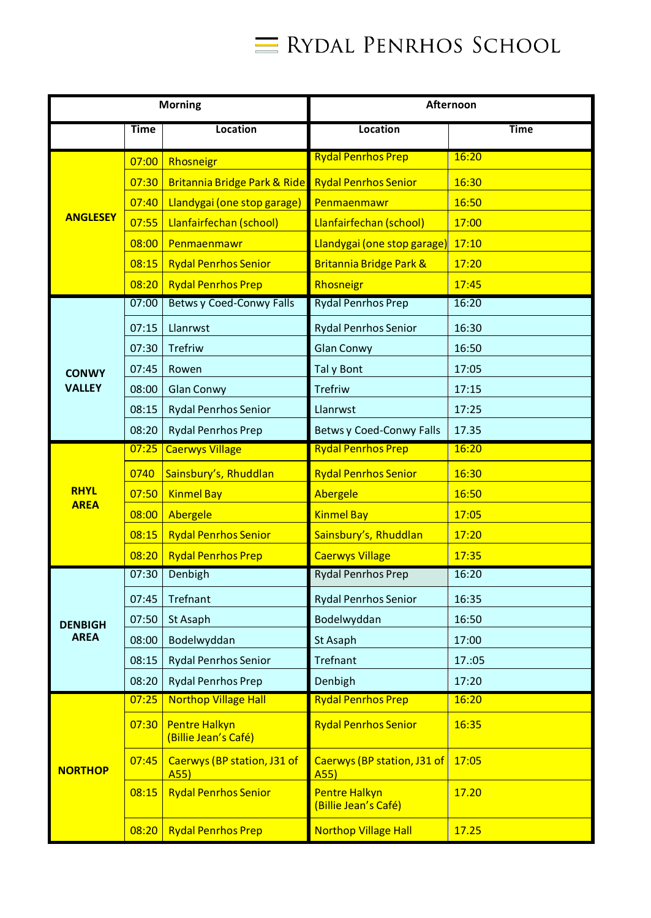

| <b>Morning</b>  |                                      |                                              | Afternoon                                    |             |  |
|-----------------|--------------------------------------|----------------------------------------------|----------------------------------------------|-------------|--|
|                 | <b>Time</b>                          | Location                                     | <b>Location</b>                              | <b>Time</b> |  |
|                 | 07:00                                | Rhosneigr                                    | <b>Rydal Penrhos Prep</b>                    | 16:20       |  |
|                 | 07:30                                | <b>Britannia Bridge Park &amp; Ride</b>      | <b>Rydal Penrhos Senior</b>                  | 16:30       |  |
|                 | 07:40                                | Llandygai (one stop garage)                  | Penmaenmawr                                  | 16:50       |  |
| <b>ANGLESEY</b> | 07:55                                | Llanfairfechan (school)                      | Llanfairfechan (school)                      | 17:00       |  |
|                 | 08:00                                | Penmaenmawr                                  | Llandygai (one stop garage)                  | 17:10       |  |
|                 | 08:15<br><b>Rydal Penrhos Senior</b> |                                              | Britannia Bridge Park &                      | 17:20       |  |
|                 | 08:20                                | <b>Rydal Penrhos Prep</b>                    | Rhosneigr                                    | 17:45       |  |
|                 | 07:00                                | <b>Betws y Coed-Conwy Falls</b>              | <b>Rydal Penrhos Prep</b>                    | 16:20       |  |
|                 | 07:15                                | Llanrwst                                     | <b>Rydal Penrhos Senior</b>                  | 16:30       |  |
|                 | 07:30                                | <b>Trefriw</b>                               | <b>Glan Conwy</b>                            | 16:50       |  |
| <b>CONWY</b>    | 07:45                                | Rowen                                        | Tal y Bont                                   | 17:05       |  |
| <b>VALLEY</b>   | 08:00                                | <b>Glan Conwy</b>                            | <b>Trefriw</b>                               | 17:15       |  |
|                 | 08:15                                | <b>Rydal Penrhos Senior</b>                  | Llanrwst                                     | 17:25       |  |
|                 | 08:20                                | <b>Rydal Penrhos Prep</b>                    | <b>Betws y Coed-Conwy Falls</b>              | 17.35       |  |
|                 | 07:25                                | <b>Caerwys Village</b>                       | <b>Rydal Penrhos Prep</b>                    | 16:20       |  |
|                 | 0740                                 | Sainsbury's, Rhuddlan                        | <b>Rydal Penrhos Senior</b>                  | 16:30       |  |
| <b>RHYL</b>     | 07:50                                | <b>Kinmel Bay</b>                            | Abergele                                     | 16:50       |  |
| <b>AREA</b>     | 08:00                                | Abergele                                     | <b>Kinmel Bay</b>                            | 17:05       |  |
|                 | 08:15                                | <b>Rydal Penrhos Senior</b>                  | Sainsbury's, Rhuddlan                        | 17:20       |  |
|                 | 08:20                                | <b>Rydal Penrhos Prep</b>                    | <b>Caerwys Village</b>                       | 17:35       |  |
|                 | 07:30                                | Denbigh                                      | <b>Rydal Penrhos Prep</b>                    | 16:20       |  |
|                 | 07:45                                | Trefnant                                     | <b>Rydal Penrhos Senior</b>                  | 16:35       |  |
| <b>DENBIGH</b>  | 07:50                                | St Asaph                                     | Bodelwyddan                                  | 16:50       |  |
| <b>AREA</b>     | 08:00                                | Bodelwyddan                                  | St Asaph                                     | 17:00       |  |
|                 | 08:15                                | <b>Rydal Penrhos Senior</b>                  | Trefnant                                     | 17.:05      |  |
|                 | 08:20                                | <b>Rydal Penrhos Prep</b>                    | Denbigh                                      | 17:20       |  |
|                 | 07:25                                | <b>Northop Village Hall</b>                  | <b>Rydal Penrhos Prep</b>                    | 16:20       |  |
|                 | 07:30                                | <b>Pentre Halkyn</b><br>(Billie Jean's Café) | <b>Rydal Penrhos Senior</b>                  | 16:35       |  |
| <b>NORTHOP</b>  | 07:45                                | Caerwys (BP station, J31 of<br>A55)          | Caerwys (BP station, J31 of<br>A55)          | 17:05       |  |
|                 | 08:15                                | <b>Rydal Penrhos Senior</b>                  | <b>Pentre Halkyn</b><br>(Billie Jean's Café) | 17.20       |  |
|                 | 08:20                                | <b>Rydal Penrhos Prep</b>                    | <b>Northop Village Hall</b>                  | 17.25       |  |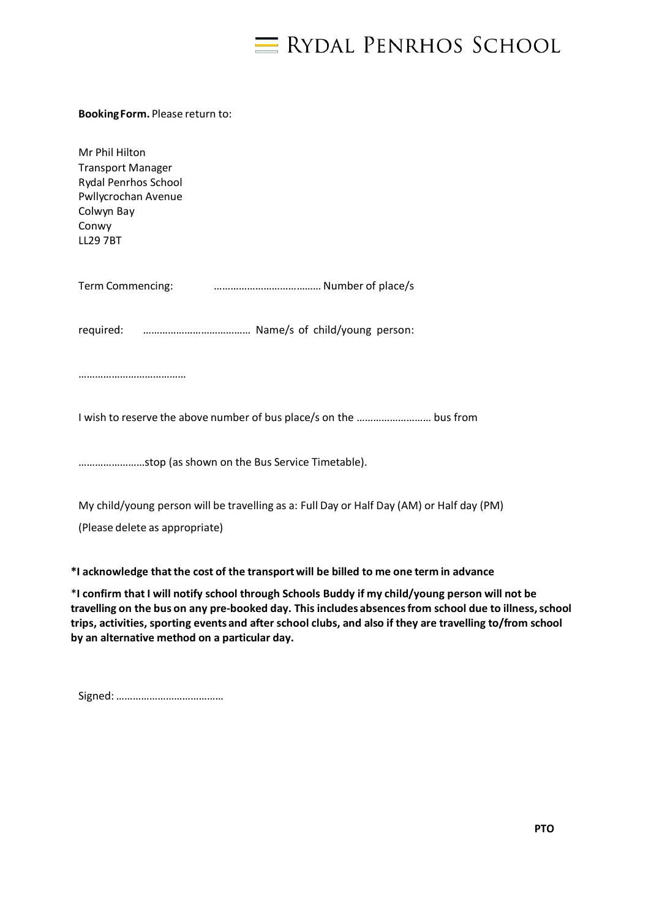

## **BookingForm.** Please return to:

Mr Phil Hilton Transport Manager Rydal Penrhos School Pwllycrochan Avenue Colwyn Bay Conwy LL29 7BT

| Term Commencing: |  |
|------------------|--|
|------------------|--|

required: ………………………………… Name/s of child/young person:

…………………………………

I wish to reserve the above number of bus place/s on the ……………………… bus from

……………………stop (as shown on the Bus Service Timetable).

My child/young person will be travelling as a: Full Day or Half Day (AM) or Half day (PM)

(Please delete as appropriate)

**\*I acknowledge thatthe cost of the transportwill be billed to me one term in advance**

\***I confirm that I will notify school through Schools Buddy if my child/young person will not be travelling on the bus on any pre-booked day. This includes absencesfrom school due to illness,school trips, activities, sporting events and after school clubs, and also if they are travelling to/from school by an alternative method on a particular day.**

|--|--|--|